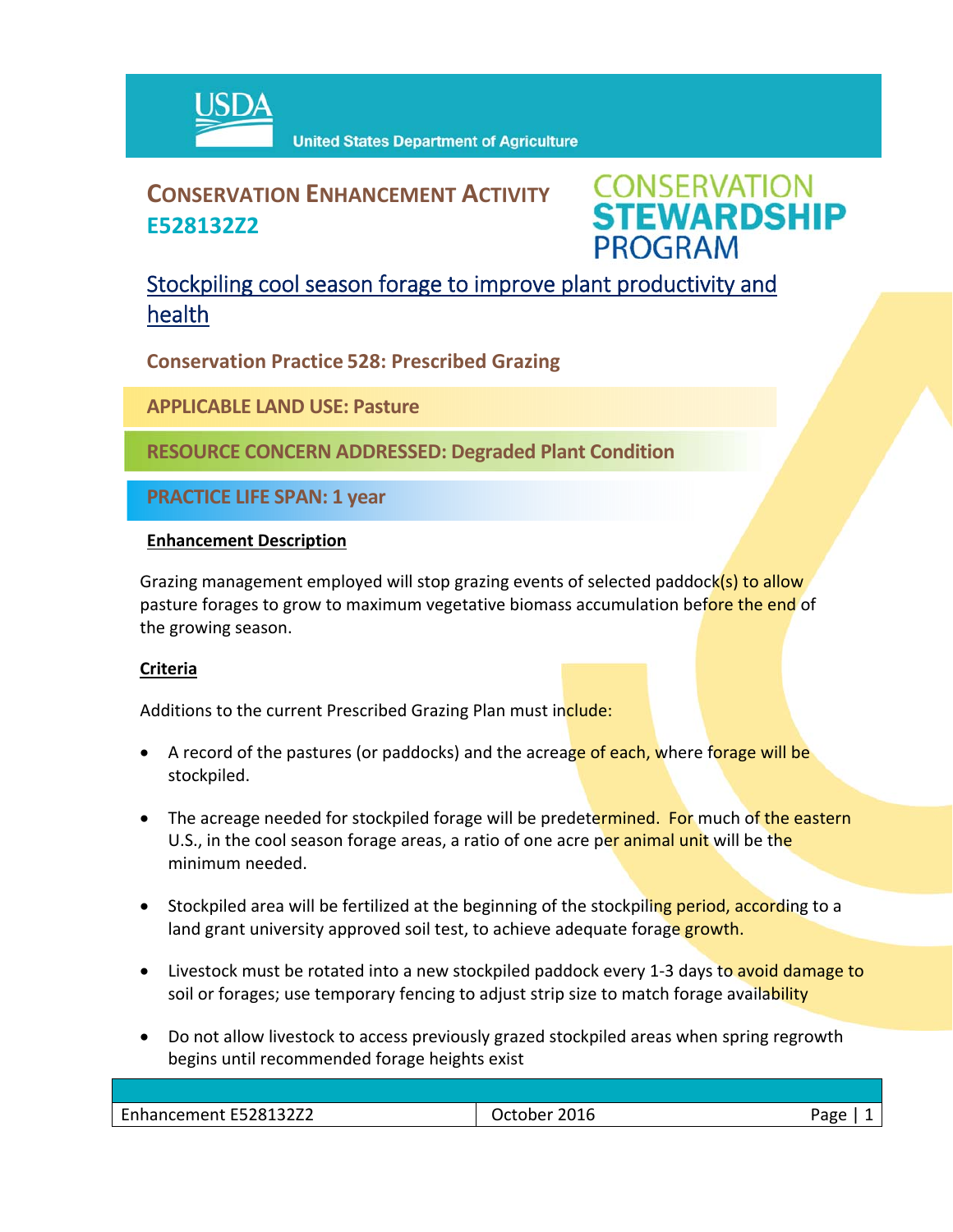

# **CONSERVATION ENHANCEMENT ACTIVITY E528132Z2**

**CONSERVATION<br>STEWARDSHIP PROGRAM** 

## Stockpiling cool season forage to improve plant productivity and health

**Conservation Practice 528: Prescribed Grazing**

**APPLICABLE LAND USE: Pasture**

**RESOURCE CONCERN ADDRESSED: Degraded Plant Condition**

**PRACTICE LIFE SPAN: 1 year**

### **Enhancement Description**

Grazing management employed will stop grazing events of selected paddock(s) to allow pasture forages to grow to maximum vegetative biomass accumulation before the end of the growing season.

### **Criteria**

Additions to the current Prescribed Grazing Plan must include:

- A record of the pastures (or paddocks) and the acreage of each, where forage will be stockpiled.
- The acreage needed for stockpiled forage will be predetermined. For much of the eastern U.S., in the cool season forage areas, a ratio of one acre per animal unit will be the minimum needed.
- Stockpiled area will be fertilized at the beginning of the stockpiling period, according to a land grant university approved soil test, to achieve adequate forage growth.
- Livestock must be rotated into a new stockpiled paddock every 1-3 days to avoid damage to soil or forages; use temporary fencing to adjust strip size to match forage availability
- Do not allow livestock to access previously grazed stockpiled areas when spring regrowth begins until recommended forage heights exist

| F52813272<br>$\overline{\phantom{0}}$<br>,,,,,,,<br>-nnancement<br>.JLLL | 2016<br>חמרי<br>. .nr<br>້ດ<br>___ |  |
|--------------------------------------------------------------------------|------------------------------------|--|